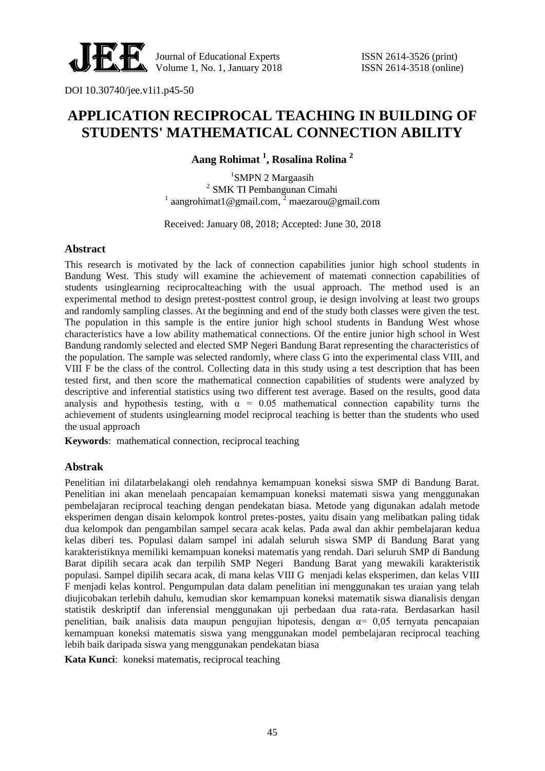

DOI 10.30740/jee.v1i1.p45-50

# **APPLICATION RECIPROCAL TEACHING IN BUILDING OF STUDENTS' MATHEMATICAL CONNECTION ABILITY**

**Aang Rohimat <sup>1</sup> , Rosalina Rolina <sup>2</sup>**

<sup>1</sup>SMPN 2 Margaasih 2 SMK TI Pembangunan Cimahi <sup>1</sup> aangrohimat1@gmail.com,<sup>2</sup> maezarou@gmail.com

Received: January 08, 2018; Accepted: June 30, 2018

## **Abstract**

This research is motivated by the lack of connection capabilities junior high school students in Bandung West. This study will examine the achievement of matemati connection capabilities of students usinglearning reciprocalteaching with the usual approach. The method used is an experimental method to design pretest-posttest control group, ie design involving at least two groups and randomly sampling classes. At the beginning and end of the study both classes were given the test. The population in this sample is the entire junior high school students in Bandung West whose characteristics have a low ability mathematical connections. Of the entire junior high school in West Bandung randomly selected and elected SMP Negeri Bandung Barat representing the characteristics of the population. The sample was selected randomly, where class G into the experimental class VIII, and VIII F be the class of the control. Collecting data in this study using a test description that has been tested first, and then score the mathematical connection capabilities of students were analyzed by descriptive and inferential statistics using two different test average. Based on the results, good data analysis and hypothesis testing, with  $\alpha = 0.05$  mathematical connection capability turns the achievement of students usinglearning model reciprocal teaching is better than the students who used the usual approach

**Keywords**: mathematical connection, reciprocal teaching

### **Abstrak**

Penelitian ini dilatarbelakangi oleh rendahnya kemampuan koneksi siswa SMP di Bandung Barat. Penelitian ini akan menelaah pencapaian kemampuan koneksi matemati siswa yang menggunakan pembelajaran reciprocal teaching dengan pendekatan biasa. Metode yang digunakan adalah metode eksperimen dengan disain kelompok kontrol pretes-postes, yaitu disain yang melibatkan paling tidak dua kelompok dan pengambilan sampel secara acak kelas. Pada awal dan akhir pembelajaran kedua kelas diberi tes. Populasi dalam sampel ini adalah seluruh siswa SMP di Bandung Barat yang karakteristiknya memiliki kemampuan koneksi matematis yang rendah. Dari seluruh SMP di Bandung Barat dipilih secara acak dan terpilih SMP Negeri Bandung Barat yang mewakili karakteristik populasi. Sampel dipilih secara acak, di mana kelas VIII G menjadi kelas eksperimen, dan kelas VIII F menjadi kelas kontrol. Pengumpulan data dalam penelitian ini menggunakan tes uraian yang telah diujicobakan terlebih dahulu, kemudian skor kemampuan koneksi matematik siswa dianalisis dengan statistik deskriptif dan inferensial menggunakan uji perbedaan dua rata-rata. Berdasarkan hasil penelitian, baik analisis data maupun pengujian hipotesis, dengan  $\alpha$  = 0,05 ternyata pencapaian kemampuan koneksi matematis siswa yang menggunakan model pembelajaran reciprocal teaching lebih baik daripada siswa yang menggunakan pendekatan biasa

**Kata Kunci**: koneksi matematis, reciprocal teaching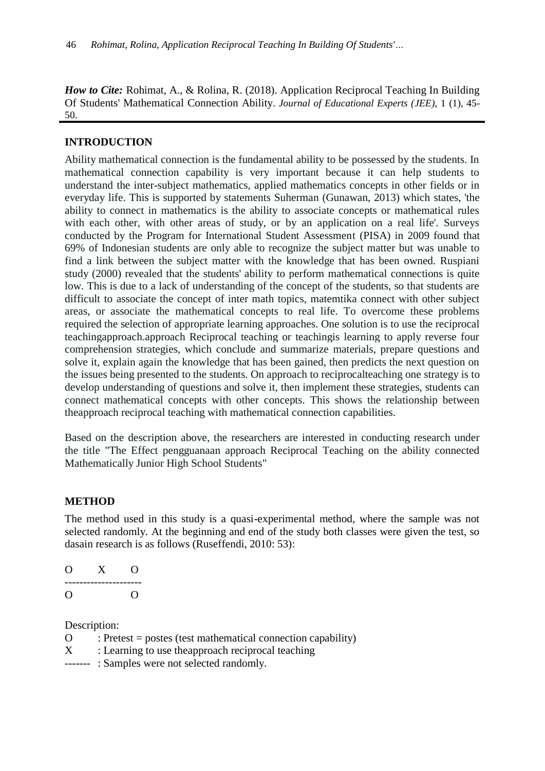*How to Cite:* Rohimat, A., & Rolina, R. (2018). Application Reciprocal Teaching In Building Of Students' Mathematical Connection Ability. *Journal of Educational Experts (JEE)*, 1 (1), 45- 50.

## **INTRODUCTION**

Ability mathematical connection is the fundamental ability to be possessed by the students. In mathematical connection capability is very important because it can help students to understand the inter-subject mathematics, applied mathematics concepts in other fields or in everyday life. This is supported by statements Suherman (Gunawan, 2013) which states, 'the ability to connect in mathematics is the ability to associate concepts or mathematical rules with each other, with other areas of study, or by an application on a real life'. Surveys conducted by the Program for International Student Assessment (PISA) in 2009 found that 69% of Indonesian students are only able to recognize the subject matter but was unable to find a link between the subject matter with the knowledge that has been owned. Ruspiani study (2000) revealed that the students' ability to perform mathematical connections is quite low. This is due to a lack of understanding of the concept of the students, so that students are difficult to associate the concept of inter math topics, matemtika connect with other subject areas, or associate the mathematical concepts to real life. To overcome these problems required the selection of appropriate learning approaches. One solution is to use the reciprocal teachingapproach.approach Reciprocal teaching or teachingis learning to apply reverse four comprehension strategies, which conclude and summarize materials, prepare questions and solve it, explain again the knowledge that has been gained, then predicts the next question on the issues being presented to the students. On approach to reciprocalteaching one strategy is to develop understanding of questions and solve it, then implement these strategies, students can connect mathematical concepts with other concepts. This shows the relationship between theapproach reciprocal teaching with mathematical connection capabilities.

Based on the description above, the researchers are interested in conducting research under the title "The Effect pengguanaan approach Reciprocal Teaching on the ability connected Mathematically Junior High School Students"

### **METHOD**

The method used in this study is a quasi-experimental method, where the sample was not selected randomly. At the beginning and end of the study both classes were given the test, so dasain research is as follows (Ruseffendi, 2010: 53):

| $\overline{\phantom{a}}$ | Y |   |
|--------------------------|---|---|
|                          |   | - |
| ่า                       |   |   |

Description:

- $\Omega$  : Pretest = postes (test mathematical connection capability)
- X : Learning to use the approach reciprocal teaching
- ------- : Samples were not selected randomly.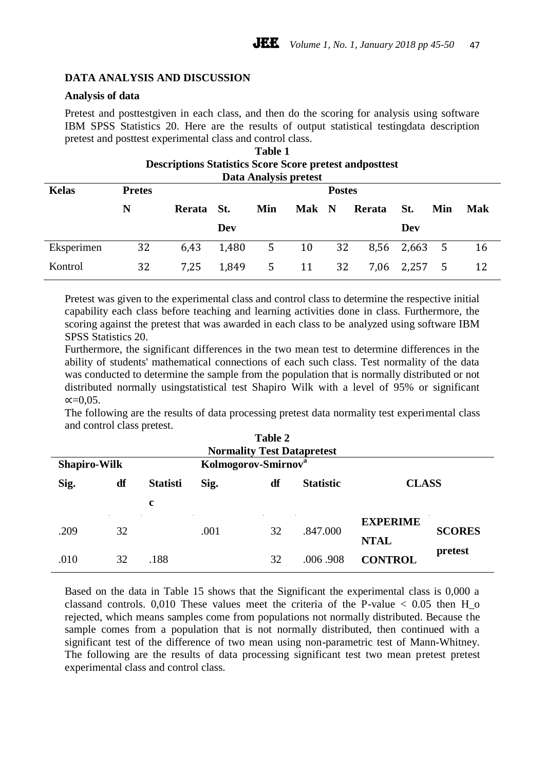## **DATA ANALYSIS AND DISCUSSION**

### **Analysis of data**

Pretest and posttestgiven in each class, and then do the scoring for analysis using software IBM SPSS Statistics 20. Here are the results of output statistical testingdata description pretest and posttest experimental class and control class.

| <b>Table 1</b> |                                                                 |               |       |     |     |             |        |       |     |            |
|----------------|-----------------------------------------------------------------|---------------|-------|-----|-----|-------------|--------|-------|-----|------------|
|                | <b>Descriptions Statistics Score Score pretest and posttest</b> |               |       |     |     |             |        |       |     |            |
|                | Data Analysis pretest                                           |               |       |     |     |             |        |       |     |            |
| <b>Kelas</b>   | <b>Pretes</b>                                                   | <b>Postes</b> |       |     |     |             |        |       |     |            |
|                | N                                                               | Rerata        | St.   | Min | Mak | $\mathbf N$ | Rerata | St.   | Min | <b>Mak</b> |
|                |                                                                 |               | Dev   |     |     |             |        | Dev   |     |            |
| Eksperimen     | 32                                                              | 6.43          | 1,480 | 5   | 10  | 32          | 8,56   | 2,663 | - 5 | 16         |
| Kontrol        | 32                                                              | 7,25          | 1,849 | 5   | 11  | 32          | 7,06   | 2,257 | 5   | 12         |

Pretest was given to the experimental class and control class to determine the respective initial capability each class before teaching and learning activities done in class. Furthermore, the scoring against the pretest that was awarded in each class to be analyzed using software IBM SPSS Statistics 20.

Furthermore, the significant differences in the two mean test to determine differences in the ability of students' mathematical connections of each such class. Test normality of the data was conducted to determine the sample from the population that is normally distributed or not distributed normally usingstatistical test Shapiro Wilk with a level of 95% or significant  $\alpha = 0.05$ .

The following are the results of data processing pretest data normality test experimental class and control class pretest.

| Table 2<br><b>Normality Test Datapretest</b>           |    |                 |                                                |    |          |                        |               |
|--------------------------------------------------------|----|-----------------|------------------------------------------------|----|----------|------------------------|---------------|
| Kolmogorov-Smirnov <sup>a</sup><br><b>Shapiro-Wilk</b> |    |                 |                                                |    |          |                        |               |
| Sig.                                                   | df | <b>Statisti</b> | df<br>Sig.<br><b>CLASS</b><br><b>Statistic</b> |    |          |                        |               |
|                                                        |    | c               |                                                |    |          |                        |               |
| .209                                                   | 32 |                 | .001                                           | 32 | .847.000 | <b>EXPERIME</b>        | <b>SCORES</b> |
|                                                        |    |                 |                                                |    |          | <b>NTAL</b><br>pretest |               |
| .010                                                   | 32 | .188            |                                                | 32 | .006.908 | <b>CONTROL</b>         |               |

Based on the data in Table 15 shows that the Significant the experimental class is 0,000 a classand controls. 0,010 These values meet the criteria of the P-value  $< 0.05$  then H o rejected, which means samples come from populations not normally distributed. Because the sample comes from a population that is not normally distributed, then continued with a significant test of the difference of two mean using non-parametric test of Mann-Whitney. The following are the results of data processing significant test two mean pretest pretest experimental class and control class.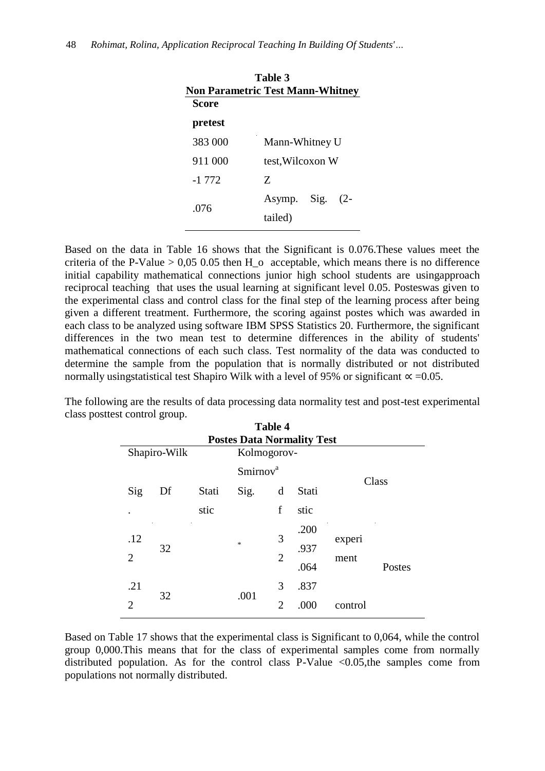|         | <b>Non Parametric Test Mann-Whitney</b> |
|---------|-----------------------------------------|
| Score   |                                         |
| pretest |                                         |
| 383 000 | Mann-Whitney U                          |
| 911 000 | test, Wilcoxon W                        |
| $-1772$ | Z                                       |
| .076    | Asymp. Sig. (2-<br>tailed)              |

**Table 3**

Based on the data in Table 16 shows that the Significant is 0.076.These values meet the criteria of the P-Value  $> 0.05$  0.05 then H  $\alpha$  acceptable, which means there is no difference initial capability mathematical connections junior high school students are usingapproach reciprocal teaching that uses the usual learning at significant level 0.05. Posteswas given to the experimental class and control class for the final step of the learning process after being given a different treatment. Furthermore, the scoring against postes which was awarded in each class to be analyzed using software IBM SPSS Statistics 20. Furthermore, the significant differences in the two mean test to determine differences in the ability of students' mathematical connections of each such class. Test normality of the data was conducted to determine the sample from the population that is normally distributed or not distributed normally usingstatistical test Shapiro Wilk with a level of 95% or significant  $\alpha$  =0.05.

The following are the results of data processing data normality test and post-test experimental class posttest control group.

| <b>Table 4</b><br><b>Postes Data Normality Test</b> |              |       |                     |                |       |         |        |
|-----------------------------------------------------|--------------|-------|---------------------|----------------|-------|---------|--------|
|                                                     | Shapiro-Wilk |       | Kolmogorov-         |                |       |         |        |
|                                                     |              |       | Sminov <sup>a</sup> |                |       | Class   |        |
| Sig                                                 | Df           | Stati | Sig.                | d              | Stati |         |        |
| $\bullet$                                           |              | stic  |                     | f              | stic  |         |        |
| .12                                                 |              |       |                     | 3              | .200  | experi  |        |
| $\overline{2}$                                      | 32           |       | $\ast$              | $\overline{2}$ | .937  |         |        |
|                                                     |              |       |                     |                | .064  | ment    | Postes |
| .21                                                 |              |       |                     | 3              | .837  |         |        |
| $\overline{2}$                                      | 32           |       | .001                | $\overline{2}$ | .000  | control |        |
|                                                     |              |       |                     |                |       |         |        |

Based on Table 17 shows that the experimental class is Significant to 0,064, while the control group 0,000.This means that for the class of experimental samples come from normally distributed population. As for the control class P-Value <0.05,the samples come from populations not normally distributed.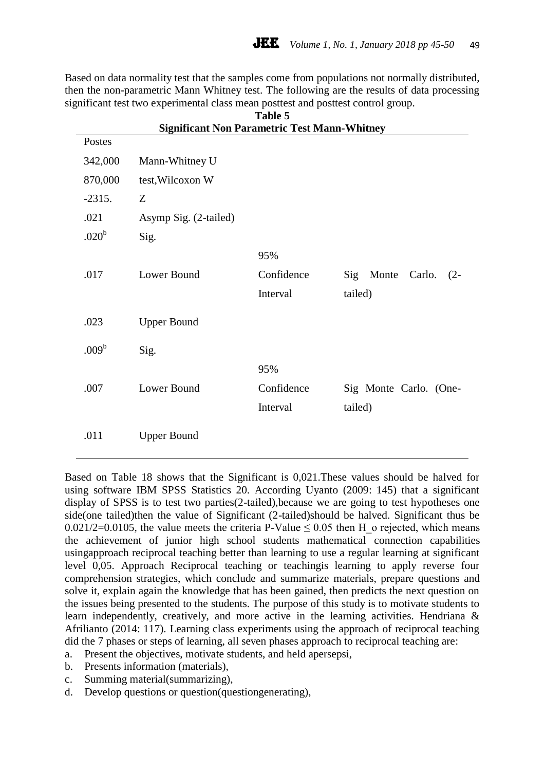Based on data normality test that the samples come from populations not normally distributed, then the non-parametric Mann Whitney test. The following are the results of data processing significant test two experimental class mean posttest and posttest control group.

| Postes            |                       |            |                                  |
|-------------------|-----------------------|------------|----------------------------------|
| 342,000           | Mann-Whitney U        |            |                                  |
| 870,000           | test, Wilcoxon W      |            |                                  |
| $-2315.$          | Z                     |            |                                  |
| .021              | Asymp Sig. (2-tailed) |            |                                  |
| .020 <sup>b</sup> | Sig.                  |            |                                  |
|                   |                       | 95%        |                                  |
| .017              | Lower Bound           | Confidence | Sig<br>Monte<br>Carlo.<br>$(2 -$ |
|                   |                       | Interval   | tailed)                          |
| .023              | <b>Upper Bound</b>    |            |                                  |
| .009 <sup>b</sup> | Sig.                  |            |                                  |
|                   |                       | 95%        |                                  |
| .007              | Lower Bound           | Confidence | Sig Monte Carlo. (One-           |
|                   |                       | Interval   | tailed)                          |
| .011              | <b>Upper Bound</b>    |            |                                  |

#### **Table 5 Significant Non Parametric Test Mann-Whitney**

Based on Table 18 shows that the Significant is 0,021.These values should be halved for using software IBM SPSS Statistics 20. According Uyanto (2009: 145) that a significant display of SPSS is to test two parties(2-tailed),because we are going to test hypotheses one side(one tailed)then the value of Significant (2-tailed)should be halved. Significant thus be 0.021/2=0.0105, the value meets the criteria P-Value  $\leq$  0.05 then H  $\alpha$  rejected, which means the achievement of junior high school students mathematical connection capabilities usingapproach reciprocal teaching better than learning to use a regular learning at significant level 0,05. Approach Reciprocal teaching or teachingis learning to apply reverse four comprehension strategies, which conclude and summarize materials, prepare questions and solve it, explain again the knowledge that has been gained, then predicts the next question on the issues being presented to the students. The purpose of this study is to motivate students to learn independently, creatively, and more active in the learning activities. Hendriana & Afrilianto (2014: 117). Learning class experiments using the approach of reciprocal teaching did the 7 phases or steps of learning, all seven phases approach to reciprocal teaching are:

- a. Present the objectives, motivate students, and held apersepsi,
- b. Presents information (materials),
- c. Summing material(summarizing),
- d. Develop questions or question(questiongenerating),